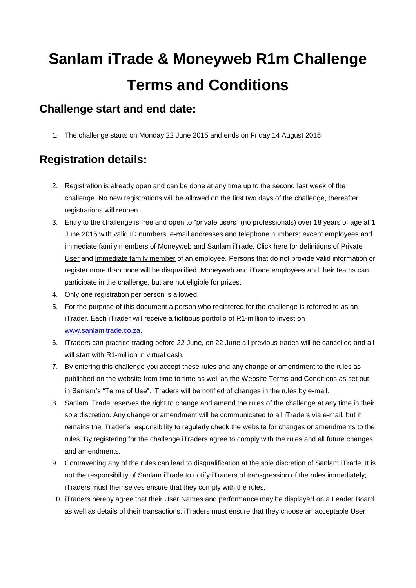# **Sanlam iTrade & Moneyweb R1m Challenge Terms and Conditions**

### **Challenge start and end date:**

1. The challenge starts on Monday 22 June 2015 and ends on Friday 14 August 2015.

# **Registration details:**

- 2. Registration is already open and can be done at any time up to the second last week of the challenge. No new registrations will be allowed on the first two days of the challenge, thereafter registrations will reopen.
- 3. Entry to the challenge is free and open to "private users" (no professionals) over 18 years of age at 1 June 2015 with valid ID numbers, e-mail addresses and telephone numbers; except employees and immediate family members of Moneyweb and Sanlam iTrade. Click here for definitions of Private User and Immediate family member of an employee. Persons that do not provide valid information or register more than once will be disqualified. Moneyweb and iTrade employees and their teams can participate in the challenge, but are not eligible for prizes.
- 4. Only one registration per person is allowed.
- 5. For the purpose of this document a person who registered for the challenge is referred to as an iTrader. Each iTrader will receive a fictitious portfolio of R1-million to invest on [www.sanlamitrade.co.za.](http://www.sanlamitrade.co.za/)
- 6. iTraders can practice trading before 22 June, on 22 June all previous trades will be cancelled and all will start with R1-million in virtual cash.
- 7. By entering this challenge you accept these rules and any change or amendment to the rules as published on the website from time to time as well as the Website Terms and Conditions as set out in Sanlam's "Terms of Use". iTraders will be notified of changes in the rules by e-mail.
- 8. Sanlam iTrade reserves the right to change and amend the rules of the challenge at any time in their sole discretion. Any change or amendment will be communicated to all iTraders via e-mail, but it remains the iTrader's responsibility to regularly check the website for changes or amendments to the rules. By registering for the challenge iTraders agree to comply with the rules and all future changes and amendments.
- 9. Contravening any of the rules can lead to disqualification at the sole discretion of Sanlam iTrade. It is not the responsibility of Sanlam iTrade to notify iTraders of transgression of the rules immediately; iTraders must themselves ensure that they comply with the rules.
- 10. iTraders hereby agree that their User Names and performance may be displayed on a Leader Board as well as details of their transactions. iTraders must ensure that they choose an acceptable User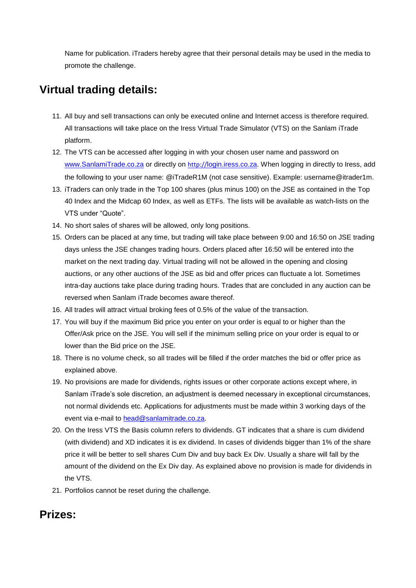Name for publication. iTraders hereby agree that their personal details may be used in the media to promote the challenge.

## **Virtual trading details:**

- 11. All buy and sell transactions can only be executed online and Internet access is therefore required. All transactions will take place on the Iress Virtual Trade Simulator (VTS) on the Sanlam iTrade platform.
- 12. The VTS can be accessed after logging in with your chosen user name and password on [www.SanlamiTrade.co.za](http://www.sanlamitrade.co.za/) or directly on http://[login.iress.co.za.](http://login.iress.co.za/) When logging in directly to Iress, add the following to your user name: @iTradeR1M (not case sensitive). Example: username@itrader1m.
- 13. iTraders can only trade in the Top 100 shares (plus minus 100) on the JSE as contained in the Top 40 Index and the Midcap 60 Index, as well as ETFs. The lists will be available as watch-lists on the VTS under "Quote".
- 14. No short sales of shares will be allowed, only long positions.
- 15. Orders can be placed at any time, but trading will take place between 9:00 and 16:50 on JSE trading days unless the JSE changes trading hours. Orders placed after 16:50 will be entered into the market on the next trading day. Virtual trading will not be allowed in the opening and closing auctions, or any other auctions of the JSE as bid and offer prices can fluctuate a lot. Sometimes intra-day auctions take place during trading hours. Trades that are concluded in any auction can be reversed when Sanlam iTrade becomes aware thereof.
- 16. All trades will attract virtual broking fees of 0.5% of the value of the transaction.
- 17. You will buy if the maximum Bid price you enter on your order is equal to or higher than the Offer/Ask price on the JSE. You will sell if the minimum selling price on your order is equal to or lower than the Bid price on the JSE.
- 18. There is no volume check, so all trades will be filled if the order matches the bid or offer price as explained above.
- 19. No provisions are made for dividends, rights issues or other corporate actions except where, in Sanlam iTrade's sole discretion, an adjustment is deemed necessary in exceptional circumstances, not normal dividends etc. Applications for adjustments must be made within 3 working days of the event via e-mail to [head@sanlamitrade.co.za.](mailto:head@sanlamitrade.co.za)
- 20. On the Iress VTS the Basis column refers to dividends. GT indicates that a share is cum dividend (with dividend) and XD indicates it is ex dividend. In cases of dividends bigger than 1% of the share price it will be better to sell shares Cum Div and buy back Ex Div. Usually a share will fall by the amount of the dividend on the Ex Div day. As explained above no provision is made for dividends in the VTS.
- 21. Portfolios cannot be reset during the challenge.

#### **Prizes:**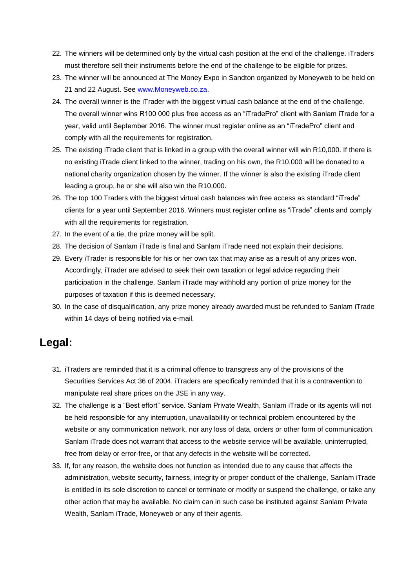- 22. The winners will be determined only by the virtual cash position at the end of the challenge. iTraders must therefore sell their instruments before the end of the challenge to be eligible for prizes.
- 23. The winner will be announced at The Money Expo in Sandton organized by Moneyweb to be held on 21 and 22 August. See [www.Moneyweb.co.za.](http://www.moneyweb.co.za/)
- 24. The overall winner is the iTrader with the biggest virtual cash balance at the end of the challenge. The overall winner wins R100 000 plus free access as an "iTradePro" client with Sanlam iTrade for a year, valid until September 2016. The winner must register online as an "iTradePro" client and comply with all the requirements for registration.
- 25. The existing iTrade client that is linked in a group with the overall winner will win R10,000. If there is no existing iTrade client linked to the winner, trading on his own, the R10,000 will be donated to a national charity organization chosen by the winner. If the winner is also the existing iTrade client leading a group, he or she will also win the R10,000.
- 26. The top 100 Traders with the biggest virtual cash balances win free access as standard "iTrade" clients for a year until September 2016. Winners must register online as "iTrade" clients and comply with all the requirements for registration.
- 27. In the event of a tie, the prize money will be split.
- 28. The decision of Sanlam iTrade is final and Sanlam iTrade need not explain their decisions.
- 29. Every iTrader is responsible for his or her own tax that may arise as a result of any prizes won. Accordingly, iTrader are advised to seek their own taxation or legal advice regarding their participation in the challenge. Sanlam iTrade may withhold any portion of prize money for the purposes of taxation if this is deemed necessary.
- 30. In the case of disqualification, any prize money already awarded must be refunded to Sanlam iTrade within 14 days of being notified via e-mail.

#### **Legal:**

- 31. iTraders are reminded that it is a criminal offence to transgress any of the provisions of the Securities Services Act 36 of 2004. iTraders are specifically reminded that it is a contravention to manipulate real share prices on the JSE in any way.
- 32. The challenge is a "Best effort" service. Sanlam Private Wealth, Sanlam iTrade or its agents will not be held responsible for any interruption, unavailability or technical problem encountered by the website or any communication network, nor any loss of data, orders or other form of communication. Sanlam iTrade does not warrant that access to the website service will be available, uninterrupted, free from delay or error-free, or that any defects in the website will be corrected.
- 33. If, for any reason, the website does not function as intended due to any cause that affects the administration, website security, fairness, integrity or proper conduct of the challenge, Sanlam iTrade is entitled in its sole discretion to cancel or terminate or modify or suspend the challenge, or take any other action that may be available. No claim can in such case be instituted against Sanlam Private Wealth, Sanlam iTrade, Moneyweb or any of their agents.